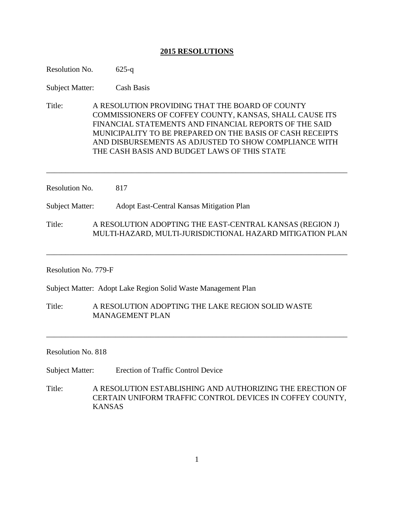# **2015 RESOLUTIONS**

| Resolution No.                                                | $625 - q$                                                                                                                                                                                                                                                                                                                                  |
|---------------------------------------------------------------|--------------------------------------------------------------------------------------------------------------------------------------------------------------------------------------------------------------------------------------------------------------------------------------------------------------------------------------------|
| <b>Subject Matter:</b>                                        | <b>Cash Basis</b>                                                                                                                                                                                                                                                                                                                          |
| Title:                                                        | A RESOLUTION PROVIDING THAT THE BOARD OF COUNTY<br>COMMISSIONERS OF COFFEY COUNTY, KANSAS, SHALL CAUSE ITS<br>FINANCIAL STATEMENTS AND FINANCIAL REPORTS OF THE SAID<br>MUNICIPALITY TO BE PREPARED ON THE BASIS OF CASH RECEIPTS<br>AND DISBURSEMENTS AS ADJUSTED TO SHOW COMPLIANCE WITH<br>THE CASH BASIS AND BUDGET LAWS OF THIS STATE |
| Resolution No.<br>817                                         |                                                                                                                                                                                                                                                                                                                                            |
| Subject Matter:                                               | Adopt East-Central Kansas Mitigation Plan                                                                                                                                                                                                                                                                                                  |
| Title:                                                        | A RESOLUTION ADOPTING THE EAST-CENTRAL KANSAS (REGION J)<br>MULTI-HAZARD, MULTI-JURISDICTIONAL HAZARD MITIGATION PLAN                                                                                                                                                                                                                      |
| Resolution No. 779-F                                          |                                                                                                                                                                                                                                                                                                                                            |
| Subject Matter: Adopt Lake Region Solid Waste Management Plan |                                                                                                                                                                                                                                                                                                                                            |
| Title:                                                        | A RESOLUTION ADOPTING THE LAKE REGION SOLID WASTE                                                                                                                                                                                                                                                                                          |

Resolution No. 818

Subject Matter: Erection of Traffic Control Device

MANAGEMENT PLAN

Title: A RESOLUTION ESTABLISHING AND AUTHORIZING THE ERECTION OF CERTAIN UNIFORM TRAFFIC CONTROL DEVICES IN COFFEY COUNTY, KANSAS

\_\_\_\_\_\_\_\_\_\_\_\_\_\_\_\_\_\_\_\_\_\_\_\_\_\_\_\_\_\_\_\_\_\_\_\_\_\_\_\_\_\_\_\_\_\_\_\_\_\_\_\_\_\_\_\_\_\_\_\_\_\_\_\_\_\_\_\_\_\_\_\_\_\_\_\_\_\_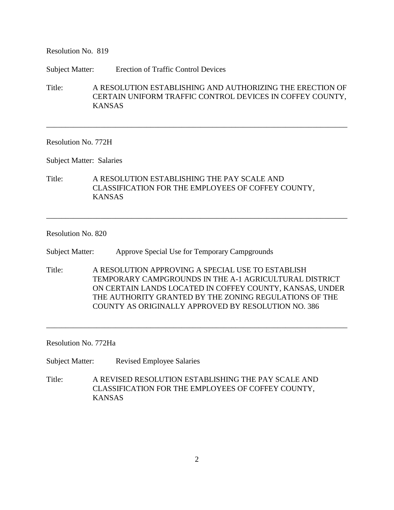Resolution No. 819

Subject Matter: Erection of Traffic Control Devices

Title: A RESOLUTION ESTABLISHING AND AUTHORIZING THE ERECTION OF CERTAIN UNIFORM TRAFFIC CONTROL DEVICES IN COFFEY COUNTY, KANSAS

\_\_\_\_\_\_\_\_\_\_\_\_\_\_\_\_\_\_\_\_\_\_\_\_\_\_\_\_\_\_\_\_\_\_\_\_\_\_\_\_\_\_\_\_\_\_\_\_\_\_\_\_\_\_\_\_\_\_\_\_\_\_\_\_\_\_\_\_\_\_\_\_\_\_\_\_\_\_

Resolution No. 772H

Subject Matter: Salaries

Title: A RESOLUTION ESTABLISHING THE PAY SCALE AND CLASSIFICATION FOR THE EMPLOYEES OF COFFEY COUNTY, KANSAS

## Resolution No. 820

Subject Matter: Approve Special Use for Temporary Campgrounds

Title: A RESOLUTION APPROVING A SPECIAL USE TO ESTABLISH TEMPORARY CAMPGROUNDS IN THE A-1 AGRICULTURAL DISTRICT ON CERTAIN LANDS LOCATED IN COFFEY COUNTY, KANSAS, UNDER THE AUTHORITY GRANTED BY THE ZONING REGULATIONS OF THE COUNTY AS ORIGINALLY APPROVED BY RESOLUTION NO. 386

\_\_\_\_\_\_\_\_\_\_\_\_\_\_\_\_\_\_\_\_\_\_\_\_\_\_\_\_\_\_\_\_\_\_\_\_\_\_\_\_\_\_\_\_\_\_\_\_\_\_\_\_\_\_\_\_\_\_\_\_\_\_\_\_\_\_\_\_\_\_\_\_\_\_\_\_\_\_

\_\_\_\_\_\_\_\_\_\_\_\_\_\_\_\_\_\_\_\_\_\_\_\_\_\_\_\_\_\_\_\_\_\_\_\_\_\_\_\_\_\_\_\_\_\_\_\_\_\_\_\_\_\_\_\_\_\_\_\_\_\_\_\_\_\_\_\_\_\_\_\_\_\_\_\_\_\_

Resolution No. 772Ha

Subject Matter: Revised Employee Salaries

Title: A REVISED RESOLUTION ESTABLISHING THE PAY SCALE AND CLASSIFICATION FOR THE EMPLOYEES OF COFFEY COUNTY, KANSAS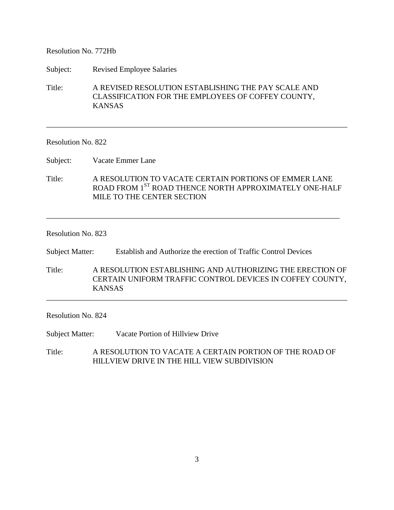### Resolution No. 772Hb

Subject: Revised Employee Salaries

Title: A REVISED RESOLUTION ESTABLISHING THE PAY SCALE AND CLASSIFICATION FOR THE EMPLOYEES OF COFFEY COUNTY, KANSAS

### Resolution No. 822

Subject: Vacate Emmer Lane

Title: A RESOLUTION TO VACATE CERTAIN PORTIONS OF EMMER LANE ROAD FROM 1<sup>ST</sup> ROAD THENCE NORTH APPROXIMATELY ONE-HALF MILE TO THE CENTER SECTION

\_\_\_\_\_\_\_\_\_\_\_\_\_\_\_\_\_\_\_\_\_\_\_\_\_\_\_\_\_\_\_\_\_\_\_\_\_\_\_\_\_\_\_\_\_\_\_\_\_\_\_\_\_\_\_\_\_\_\_\_\_\_\_\_\_\_\_\_\_\_\_\_\_\_\_\_

\_\_\_\_\_\_\_\_\_\_\_\_\_\_\_\_\_\_\_\_\_\_\_\_\_\_\_\_\_\_\_\_\_\_\_\_\_\_\_\_\_\_\_\_\_\_\_\_\_\_\_\_\_\_\_\_\_\_\_\_\_\_\_\_\_\_\_\_\_\_\_\_\_\_\_\_\_\_

### Resolution No. 823

Subject Matter: Establish and Authorize the erection of Traffic Control Devices

Title: A RESOLUTION ESTABLISHING AND AUTHORIZING THE ERECTION OF CERTAIN UNIFORM TRAFFIC CONTROL DEVICES IN COFFEY COUNTY, KANSAS

\_\_\_\_\_\_\_\_\_\_\_\_\_\_\_\_\_\_\_\_\_\_\_\_\_\_\_\_\_\_\_\_\_\_\_\_\_\_\_\_\_\_\_\_\_\_\_\_\_\_\_\_\_\_\_\_\_\_\_\_\_\_\_\_\_\_\_\_\_\_\_\_\_\_\_\_\_\_

### Resolution No. 824

Subject Matter: Vacate Portion of Hillview Drive

Title: A RESOLUTION TO VACATE A CERTAIN PORTION OF THE ROAD OF HILLVIEW DRIVE IN THE HILL VIEW SUBDIVISION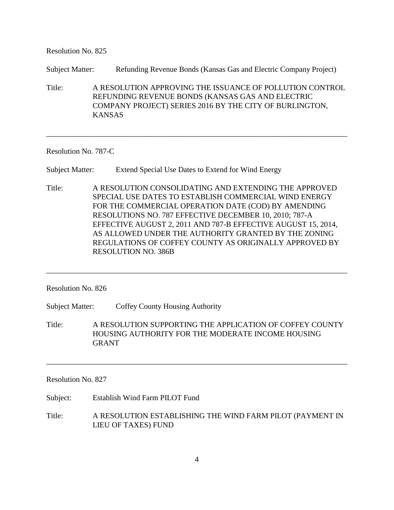Resolution No. 825

Subject Matter: Refunding Revenue Bonds (Kansas Gas and Electric Company Project)

Title: A RESOLUTION APPROVING THE ISSUANCE OF POLLUTION CONTROL REFUNDING REVENUE BONDS (KANSAS GAS AND ELECTRIC COMPANY PROJECT) SERIES 2016 BY THE CITY OF BURLINGTON, KANSAS

\_\_\_\_\_\_\_\_\_\_\_\_\_\_\_\_\_\_\_\_\_\_\_\_\_\_\_\_\_\_\_\_\_\_\_\_\_\_\_\_\_\_\_\_\_\_\_\_\_\_\_\_\_\_\_\_\_\_\_\_\_\_\_\_\_\_\_\_\_\_\_\_\_\_\_\_\_\_

Resolution No. 787-C

Subject Matter: Extend Special Use Dates to Extend for Wind Energy

Title: A RESOLUTION CONSOLIDATING AND EXTENDING THE APPROVED SPECIAL USE DATES TO ESTABLISH COMMERCIAL WIND ENERGY FOR THE COMMERCIAL OPERATION DATE (COD) BY AMENDING RESOLUTIONS NO. 787 EFFECTIVE DECEMBER 10, 2010; 787-A EFFECTIVE AUGUST 2, 2011 AND 787-B EFFECTIVE AUGUST 15, 2014, AS ALLOWED UNDER THE AUTHORITY GRANTED BY THE ZONING REGULATIONS OF COFFEY COUNTY AS ORIGINALLY APPROVED BY RESOLUTION NO. 386B

\_\_\_\_\_\_\_\_\_\_\_\_\_\_\_\_\_\_\_\_\_\_\_\_\_\_\_\_\_\_\_\_\_\_\_\_\_\_\_\_\_\_\_\_\_\_\_\_\_\_\_\_\_\_\_\_\_\_\_\_\_\_\_\_\_\_\_\_\_\_\_\_\_\_\_\_\_\_

Resolution No. 826

Subject Matter: Coffey County Housing Authority

Title: A RESOLUTION SUPPORTING THE APPLICATION OF COFFEY COUNTY HOUSING AUTHORITY FOR THE MODERATE INCOME HOUSING GRANT

\_\_\_\_\_\_\_\_\_\_\_\_\_\_\_\_\_\_\_\_\_\_\_\_\_\_\_\_\_\_\_\_\_\_\_\_\_\_\_\_\_\_\_\_\_\_\_\_\_\_\_\_\_\_\_\_\_\_\_\_\_\_\_\_\_\_\_\_\_\_\_\_\_\_\_\_\_\_

Resolution No. 827

Subject: Establish Wind Farm PILOT Fund

Title: A RESOLUTION ESTABLISHING THE WIND FARM PILOT (PAYMENT IN LIEU OF TAXES) FUND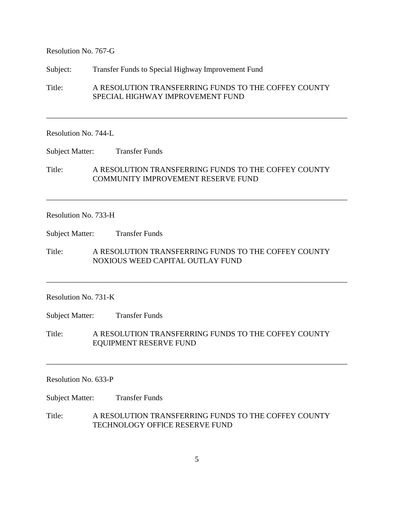Resolution No. 767-G

Subject: Transfer Funds to Special Highway Improvement Fund

Title: A RESOLUTION TRANSFERRING FUNDS TO THE COFFEY COUNTY SPECIAL HIGHWAY IMPROVEMENT FUND

\_\_\_\_\_\_\_\_\_\_\_\_\_\_\_\_\_\_\_\_\_\_\_\_\_\_\_\_\_\_\_\_\_\_\_\_\_\_\_\_\_\_\_\_\_\_\_\_\_\_\_\_\_\_\_\_\_\_\_\_\_\_\_\_\_\_\_\_\_\_\_\_\_\_\_\_\_\_

#### Resolution No. 744-L

Subject Matter: Transfer Funds

Title: A RESOLUTION TRANSFERRING FUNDS TO THE COFFEY COUNTY COMMUNITY IMPROVEMENT RESERVE FUND

\_\_\_\_\_\_\_\_\_\_\_\_\_\_\_\_\_\_\_\_\_\_\_\_\_\_\_\_\_\_\_\_\_\_\_\_\_\_\_\_\_\_\_\_\_\_\_\_\_\_\_\_\_\_\_\_\_\_\_\_\_\_\_\_\_\_\_\_\_\_\_\_\_\_\_\_\_\_

#### Resolution No. 733-H

Subject Matter: Transfer Funds

Title: A RESOLUTION TRANSFERRING FUNDS TO THE COFFEY COUNTY NOXIOUS WEED CAPITAL OUTLAY FUND

\_\_\_\_\_\_\_\_\_\_\_\_\_\_\_\_\_\_\_\_\_\_\_\_\_\_\_\_\_\_\_\_\_\_\_\_\_\_\_\_\_\_\_\_\_\_\_\_\_\_\_\_\_\_\_\_\_\_\_\_\_\_\_\_\_\_\_\_\_\_\_\_\_\_\_\_\_\_

## Resolution No. 731-K

Subject Matter: Transfer Funds

Title: A RESOLUTION TRANSFERRING FUNDS TO THE COFFEY COUNTY EQUIPMENT RESERVE FUND

\_\_\_\_\_\_\_\_\_\_\_\_\_\_\_\_\_\_\_\_\_\_\_\_\_\_\_\_\_\_\_\_\_\_\_\_\_\_\_\_\_\_\_\_\_\_\_\_\_\_\_\_\_\_\_\_\_\_\_\_\_\_\_\_\_\_\_\_\_\_\_\_\_\_\_\_\_\_

### Resolution No. 633-P

Subject Matter: Transfer Funds

Title: A RESOLUTION TRANSFERRING FUNDS TO THE COFFEY COUNTY TECHNOLOGY OFFICE RESERVE FUND